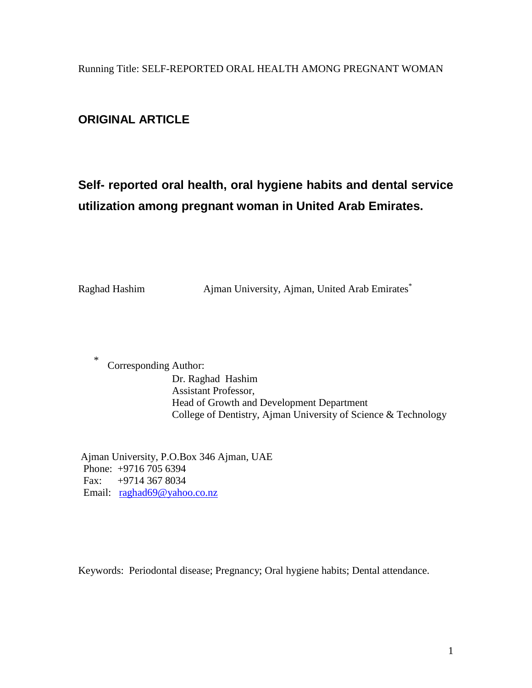Running Title: SELF-REPORTED ORAL HEALTH AMONG PREGNANT WOMAN

# **ORIGINAL ARTICLE**

# **Self- reported oral health, oral hygiene habits and dental service utilization among pregnant woman in United Arab Emirates.**

Raghad Hashim Ajman University, Ajman, United Arab Emirates\*

\* Corresponding Author: Dr. Raghad Hashim Assistant Professor, Head of Growth and Development Department College of Dentistry, Ajman University of Science & Technology

Ajman University, P.O.Box 346 Ajman, UAE Phone: +9716 705 6394 Fax: +9714 367 8034 Email: [raghad69@yahoo.co.nz](mailto:raghad69@yahoo.co.nz)

Keywords: Periodontal disease; Pregnancy; Oral hygiene habits; Dental attendance.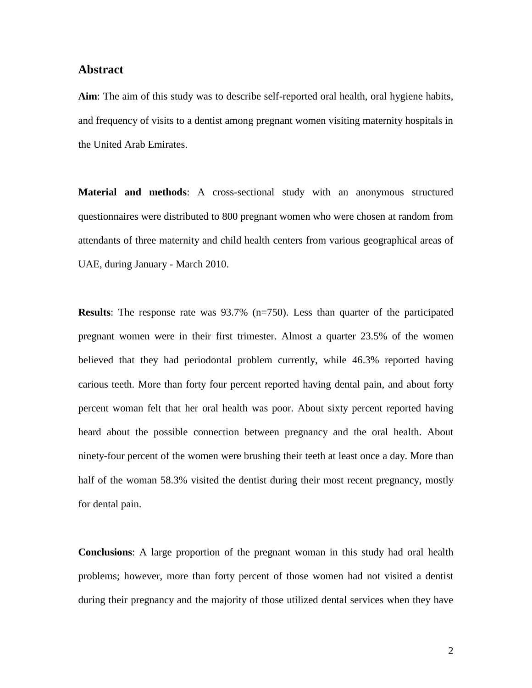### **Abstract**

**Aim**: The aim of this study was to describe self-reported oral health, oral hygiene habits, and frequency of visits to a dentist among pregnant women visiting maternity hospitals in the United Arab Emirates.

**Material and methods**: A cross-sectional study with an anonymous structured questionnaires were distributed to 800 pregnant women who were chosen at random from attendants of three maternity and child health centers from various geographical areas of UAE, during January - March 2010.

**Results**: The response rate was 93.7% (n=750). Less than quarter of the participated pregnant women were in their first trimester. Almost a quarter 23.5% of the women believed that they had periodontal problem currently, while 46.3% reported having carious teeth. More than forty four percent reported having dental pain, and about forty percent woman felt that her oral health was poor. About sixty percent reported having heard about the possible connection between pregnancy and the oral health. About ninety-four percent of the women were brushing their teeth at least once a day. More than half of the woman 58.3% visited the dentist during their most recent pregnancy, mostly for dental pain.

**Conclusions**: A large proportion of the pregnant woman in this study had oral health problems; however, more than forty percent of those women had not visited a dentist during their pregnancy and the majority of those utilized dental services when they have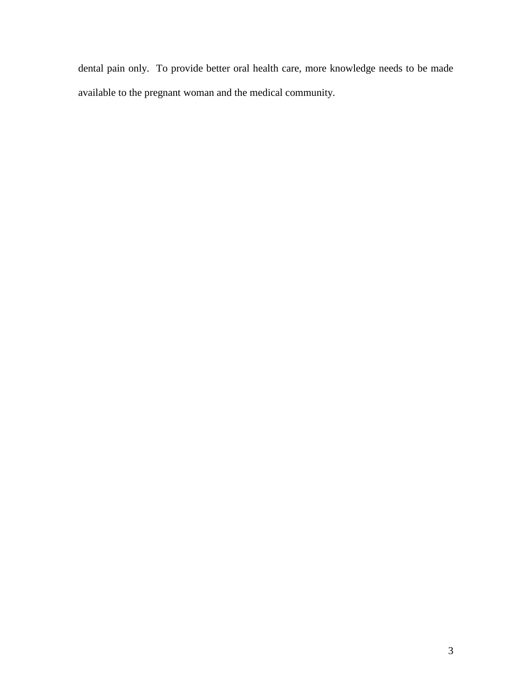dental pain only. To provide better oral health care, more knowledge needs to be made available to the pregnant woman and the medical community.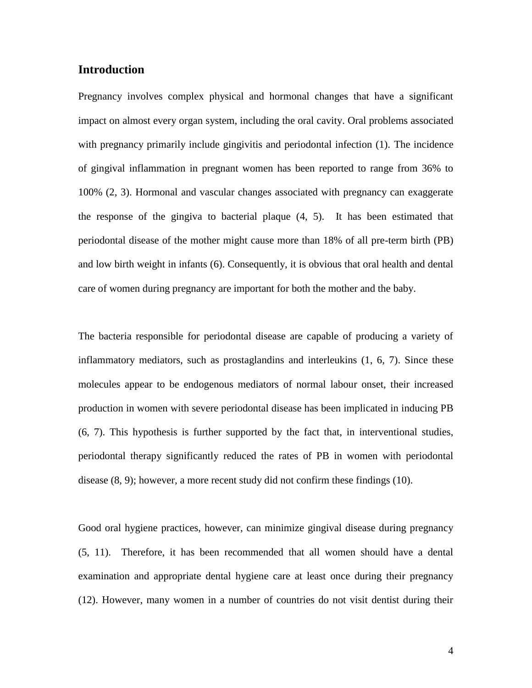# **Introduction**

Pregnancy involves complex physical and hormonal changes that have a significant impact on almost every organ system, including the oral cavity. Oral problems associated with pregnancy primarily include gingivitis and periodontal infection (1). The incidence of gingival inflammation in pregnant women has been reported to range from 36% to 100% (2, 3). Hormonal and vascular changes associated with pregnancy can exaggerate the response of the gingiva to bacterial plaque (4, 5). It has been estimated that periodontal disease of the mother might cause more than 18% of all pre-term birth (PB) and low birth weight in infants (6). Consequently, it is obvious that oral health and dental care of women during pregnancy are important for both the mother and the baby.

The bacteria responsible for periodontal disease are capable of producing a variety of inflammatory mediators, such as prostaglandins and interleukins (1, 6, 7). Since these molecules appear to be endogenous mediators of normal labour onset, their increased production in women with severe periodontal disease has been implicated in inducing PB (6, 7). This hypothesis is further supported by the fact that, in interventional studies, periodontal therapy significantly reduced the rates of PB in women with periodontal disease (8, 9); however, a more recent study did not confirm these findings (10).

Good oral hygiene practices, however, can minimize gingival disease during pregnancy (5, 11). Therefore, it has been recommended that all women should have a dental examination and appropriate dental hygiene care at least once during their pregnancy (12). However, many women in a number of countries do not visit dentist during their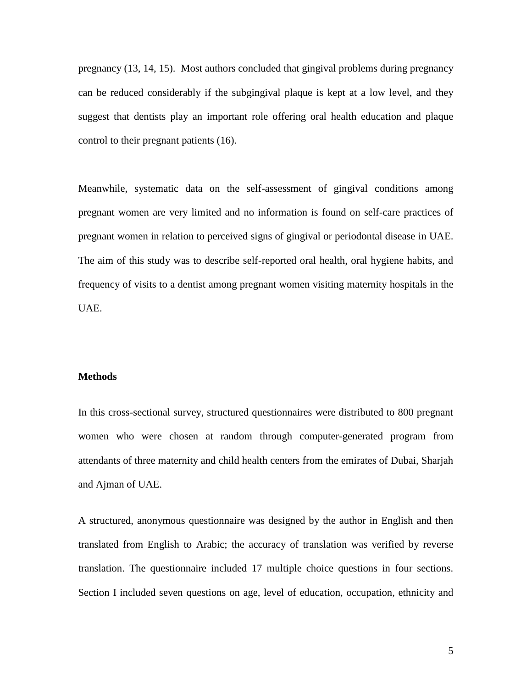pregnancy (13, 14, 15). Most authors concluded that gingival problems during pregnancy can be reduced considerably if the subgingival plaque is kept at a low level, and they suggest that dentists play an important role offering oral health education and plaque control to their pregnant patients (16).

Meanwhile, systematic data on the self-assessment of gingival conditions among pregnant women are very limited and no information is found on self-care practices of pregnant women in relation to perceived signs of gingival or periodontal disease in UAE. The aim of this study was to describe self-reported oral health, oral hygiene habits, and frequency of visits to a dentist among pregnant women visiting maternity hospitals in the UAE.

#### **Methods**

In this cross-sectional survey, structured questionnaires were distributed to 800 pregnant women who were chosen at random through computer-generated program from attendants of three maternity and child health centers from the emirates of Dubai, Sharjah and Ajman of UAE.

A structured, anonymous questionnaire was designed by the author in English and then translated from English to Arabic; the accuracy of translation was verified by reverse translation. The questionnaire included 17 multiple choice questions in four sections. Section I included seven questions on age, level of education, occupation, ethnicity and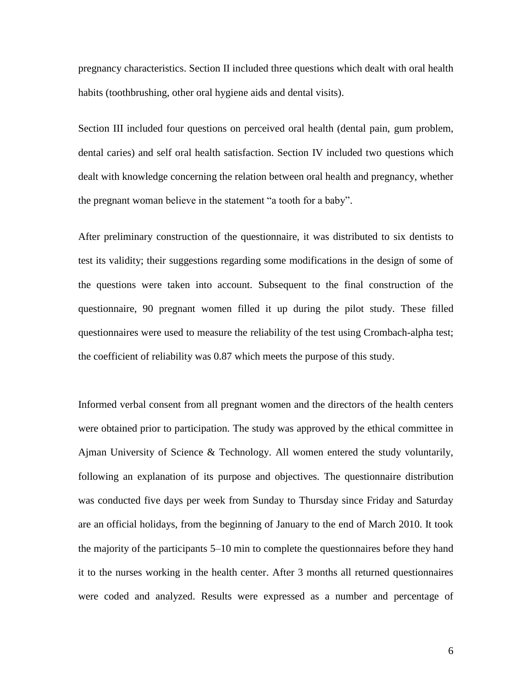pregnancy characteristics. Section II included three questions which dealt with oral health habits (toothbrushing, other oral hygiene aids and dental visits).

Section III included four questions on perceived oral health (dental pain, gum problem, dental caries) and self oral health satisfaction. Section IV included two questions which dealt with knowledge concerning the relation between oral health and pregnancy, whether the pregnant woman believe in the statement "a tooth for a baby".

After preliminary construction of the questionnaire, it was distributed to six dentists to test its validity; their suggestions regarding some modifications in the design of some of the questions were taken into account. Subsequent to the final construction of the questionnaire, 90 pregnant women filled it up during the pilot study. These filled questionnaires were used to measure the reliability of the test using Crombach-alpha test; the coefficient of reliability was 0.87 which meets the purpose of this study.

Informed verbal consent from all pregnant women and the directors of the health centers were obtained prior to participation. The study was approved by the ethical committee in Ajman University of Science & Technology. All women entered the study voluntarily, following an explanation of its purpose and objectives. The questionnaire distribution was conducted five days per week from Sunday to Thursday since Friday and Saturday are an official holidays, from the beginning of January to the end of March 2010. It took the majority of the participants 5–10 min to complete the questionnaires before they hand it to the nurses working in the health center. After 3 months all returned questionnaires were coded and analyzed. Results were expressed as a number and percentage of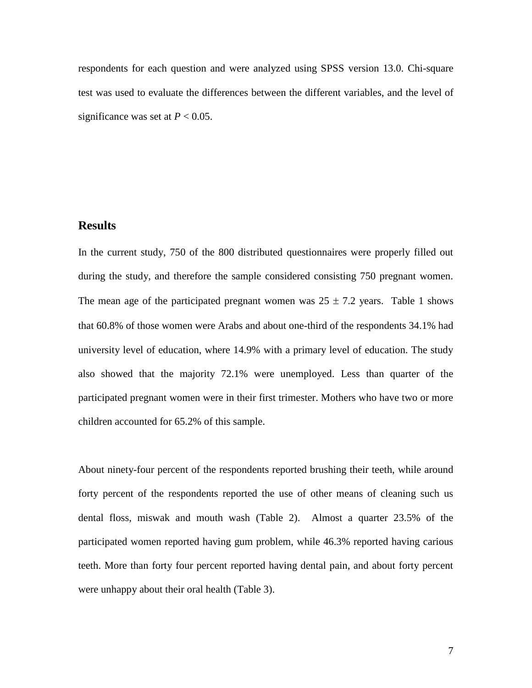respondents for each question and were analyzed using SPSS version 13.0. Chi-square test was used to evaluate the differences between the different variables, and the level of significance was set at  $P < 0.05$ .

# **Results**

In the current study, 750 of the 800 distributed questionnaires were properly filled out during the study, and therefore the sample considered consisting 750 pregnant women. The mean age of the participated pregnant women was  $25 \pm 7.2$  years. Table 1 shows that 60.8% of those women were Arabs and about one-third of the respondents 34.1% had university level of education, where 14.9% with a primary level of education. The study also showed that the majority 72.1% were unemployed. Less than quarter of the participated pregnant women were in their first trimester. Mothers who have two or more children accounted for 65.2% of this sample.

About ninety-four percent of the respondents reported brushing their teeth, while around forty percent of the respondents reported the use of other means of cleaning such us dental floss, miswak and mouth wash (Table 2). Almost a quarter 23.5% of the participated women reported having gum problem, while 46.3% reported having carious teeth. More than forty four percent reported having dental pain, and about forty percent were unhappy about their oral health (Table 3).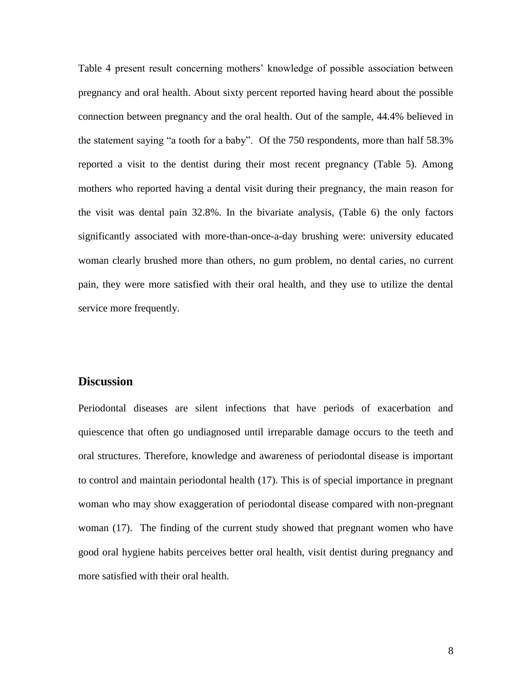Table 4 present result concerning mothers' knowledge of possible association between pregnancy and oral health. About sixty percent reported having heard about the possible connection between pregnancy and the oral health. Out of the sample, 44.4% believed in the statement saying "a tooth for a baby". Of the 750 respondents, more than half 58.3% reported a visit to the dentist during their most recent pregnancy (Table 5). Among mothers who reported having a dental visit during their pregnancy, the main reason for the visit was dental pain 32.8%. In the bivariate analysis, (Table 6) the only factors significantly associated with more-than-once-a-day brushing were: university educated woman clearly brushed more than others, no gum problem, no dental caries, no current pain, they were more satisfied with their oral health, and they use to utilize the dental service more frequently.

## **Discussion**

Periodontal diseases are silent infections that have periods of exacerbation and quiescence that often go undiagnosed until irreparable damage occurs to the teeth and oral structures. Therefore, knowledge and awareness of periodontal disease is important to control and maintain periodontal health (17). This is of special importance in pregnant woman who may show exaggeration of periodontal disease compared with non-pregnant woman (17). The finding of the current study showed that pregnant women who have good oral hygiene habits perceives better oral health, visit dentist during pregnancy and more satisfied with their oral health.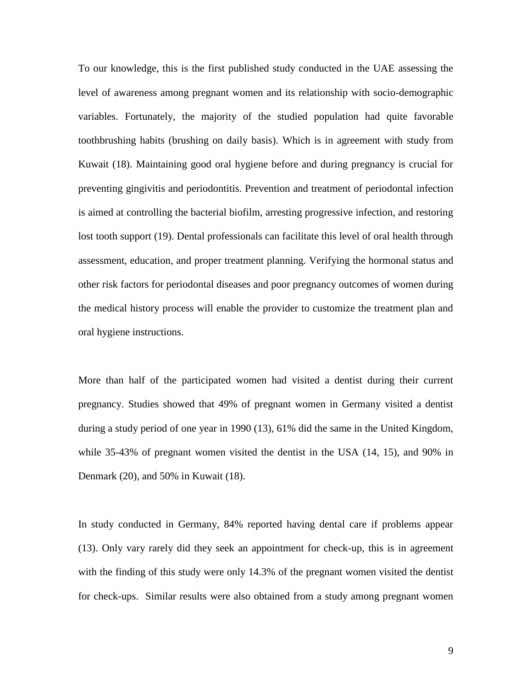To our knowledge, this is the first published study conducted in the UAE assessing the level of awareness among pregnant women and its relationship with socio-demographic variables. Fortunately, the majority of the studied population had quite favorable toothbrushing habits (brushing on daily basis). Which is in agreement with study from Kuwait (18). Maintaining good oral hygiene before and during pregnancy is crucial for preventing gingivitis and periodontitis. Prevention and treatment of periodontal infection is aimed at controlling the bacterial biofilm, arresting progressive infection, and restoring lost tooth support (19). Dental professionals can facilitate this level of oral health through assessment, education, and proper treatment planning. Verifying the hormonal status and other risk factors for periodontal diseases and poor pregnancy outcomes of women during the medical history process will enable the provider to customize the treatment plan and oral hygiene instructions.

More than half of the participated women had visited a dentist during their current pregnancy. Studies showed that 49% of pregnant women in Germany visited a dentist during a study period of one year in 1990 (13), 61% did the same in the United Kingdom, while 35-43% of pregnant women visited the dentist in the USA (14, 15), and 90% in Denmark (20), and 50% in Kuwait (18).

In study conducted in Germany, 84% reported having dental care if problems appear (13). Only vary rarely did they seek an appointment for check-up, this is in agreement with the finding of this study were only 14.3% of the pregnant women visited the dentist for check-ups. Similar results were also obtained from a study among pregnant women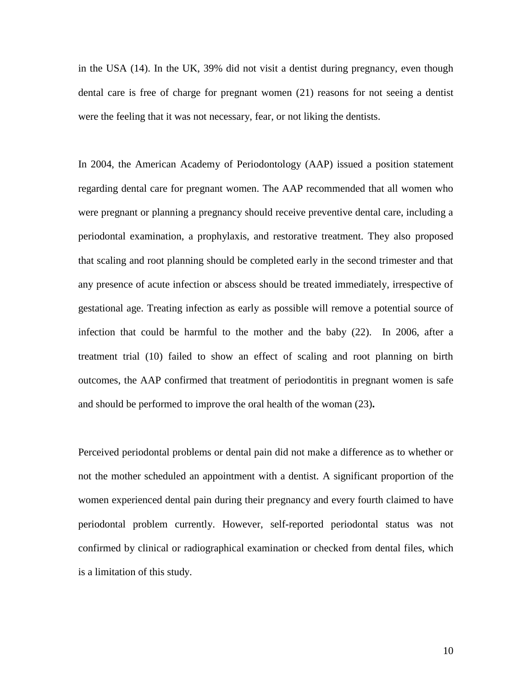in the USA (14). In the UK, 39% did not visit a dentist during pregnancy, even though dental care is free of charge for pregnant women (21) reasons for not seeing a dentist were the feeling that it was not necessary, fear, or not liking the dentists.

In 2004, the American Academy of Periodontology (AAP) issued a position statement regarding dental care for pregnant women. The AAP recommended that all women who were pregnant or planning a pregnancy should receive preventive dental care, including a periodontal examination, a prophylaxis, and restorative treatment. They also proposed that scaling and root planning should be completed early in the second trimester and that any presence of acute infection or abscess should be treated immediately, irrespective of gestational age. Treating infection as early as possible will remove a potential source of infection that could be harmful to the mother and the baby (22). In 2006, after a treatment trial (10) failed to show an effect of scaling and root planning on birth outcomes, the AAP confirmed that treatment of periodontitis in pregnant women is safe and should be performed to improve the oral health of the woman (23)**.**

Perceived periodontal problems or dental pain did not make a difference as to whether or not the mother scheduled an appointment with a dentist. A significant proportion of the women experienced dental pain during their pregnancy and every fourth claimed to have periodontal problem currently. However, self-reported periodontal status was not confirmed by clinical or radiographical examination or checked from dental files, which is a limitation of this study.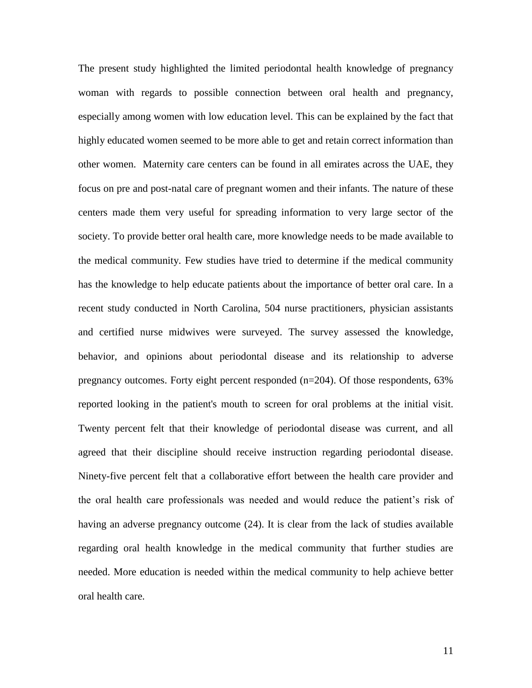The present study highlighted the limited periodontal health knowledge of pregnancy woman with regards to possible connection between oral health and pregnancy, especially among women with low education level. This can be explained by the fact that highly educated women seemed to be more able to get and retain correct information than other women. Maternity care centers can be found in all emirates across the UAE, they focus on pre and post-natal care of pregnant women and their infants. The nature of these centers made them very useful for spreading information to very large sector of the society. To provide better oral health care, more knowledge needs to be made available to the medical community. Few studies have tried to determine if the medical community has the knowledge to help educate patients about the importance of better oral care. In a recent study conducted in North Carolina, 504 nurse practitioners, physician assistants and certified nurse midwives were surveyed. The survey assessed the knowledge, behavior, and opinions about periodontal disease and its relationship to adverse pregnancy outcomes. Forty eight percent responded (n=204). Of those respondents, 63% reported looking in the patient's mouth to screen for oral problems at the initial visit. Twenty percent felt that their knowledge of periodontal disease was current, and all agreed that their discipline should receive instruction regarding periodontal disease. Ninety-five percent felt that a collaborative effort between the health care provider and the oral health care professionals was needed and would reduce the patient's risk of having an adverse pregnancy outcome (24). It is clear from the lack of studies available regarding oral health knowledge in the medical community that further studies are needed. More education is needed within the medical community to help achieve better oral health care.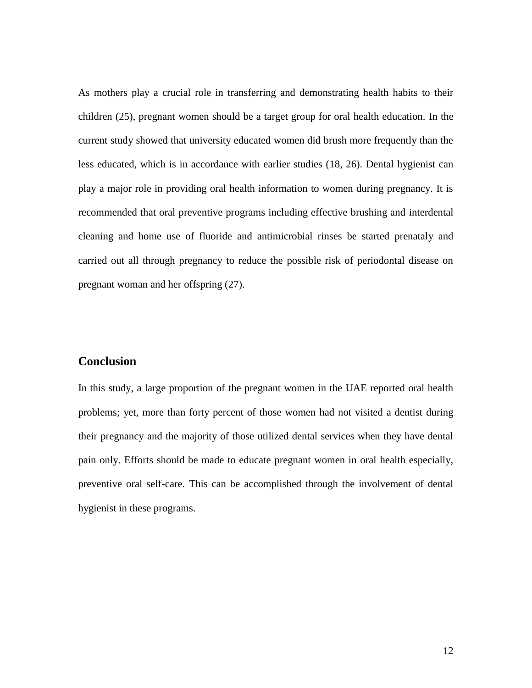As mothers play a crucial role in transferring and demonstrating health habits to their children (25), pregnant women should be a target group for oral health education. In the current study showed that university educated women did brush more frequently than the less educated, which is in accordance with earlier studies (18, 26). Dental hygienist can play a major role in providing oral health information to women during pregnancy. It is recommended that oral preventive programs including effective brushing and interdental cleaning and home use of fluoride and antimicrobial rinses be started prenataly and carried out all through pregnancy to reduce the possible risk of periodontal disease on pregnant woman and her offspring (27).

# **Conclusion**

In this study, a large proportion of the pregnant women in the UAE reported oral health problems; yet, more than forty percent of those women had not visited a dentist during their pregnancy and the majority of those utilized dental services when they have dental pain only. Efforts should be made to educate pregnant women in oral health especially, preventive oral self-care. This can be accomplished through the involvement of dental hygienist in these programs.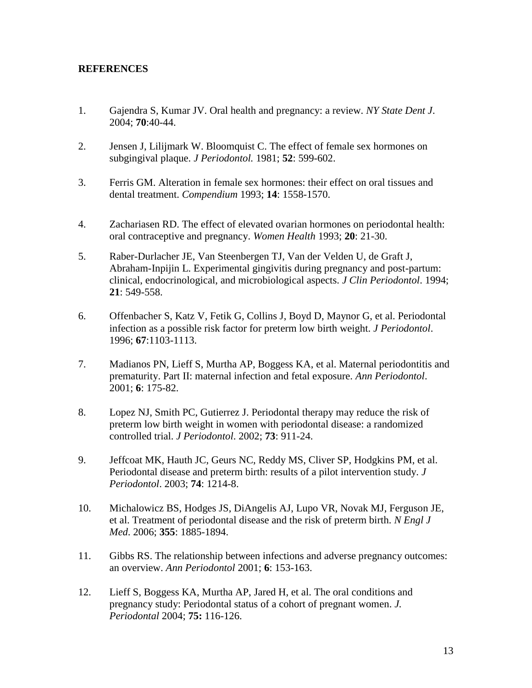## **REFERENCES**

- 1. Gajendra S, Kumar JV. Oral health and pregnancy: a review. *NY State Dent J*. 2004; **70**:40-44.
- 2. Jensen J, Lilijmark W. Bloomquist C. The effect of female sex hormones on subgingival plaque. *J Periodontol.* 1981; **52**: 599-602.
- 3. Ferris GM. Alteration in female sex hormones: their effect on oral tissues and dental treatment. *Compendium* 1993; **14**: 1558-1570.
- 4. Zachariasen RD. The effect of elevated ovarian hormones on periodontal health: oral contraceptive and pregnancy. *Women Health* 1993; **20**: 21-30.
- 5. Raber-Durlacher JE, Van Steenbergen TJ, Van der Velden U, de Graft J, Abraham-Inpijin L. Experimental gingivitis during pregnancy and post-partum: clinical, endocrinological, and microbiological aspects. *J Clin Periodontol*. 1994; **21**: 549-558.
- 6. Offenbacher S, Katz V, Fetik G, Collins J, Boyd D, Maynor G, et al. Periodontal infection as a possible risk factor for preterm low birth weight. *J Periodontol*. 1996; **67**:1103-1113.
- 7. Madianos PN, Lieff S, Murtha AP, Boggess KA, et al. Maternal periodontitis and prematurity. Part II: maternal infection and fetal exposure. *Ann Periodontol*. 2001; **6**: 175-82.
- 8. Lopez NJ, Smith PC, Gutierrez J. Periodontal therapy may reduce the risk of preterm low birth weight in women with periodontal disease: a randomized controlled trial. *J Periodontol*. 2002; **73**: 911-24.
- 9. Jeffcoat MK, Hauth JC, Geurs NC, Reddy MS, Cliver SP, Hodgkins PM, et al. Periodontal disease and preterm birth: results of a pilot intervention study. *J Periodontol*. 2003; **74**: 1214-8.
- 10. Michalowicz BS, Hodges JS, DiAngelis AJ, Lupo VR, Novak MJ, Ferguson JE, et al. Treatment of periodontal disease and the risk of preterm birth. *N Engl J Med*. 2006; **355**: 1885-1894.
- 11. Gibbs RS. The relationship between infections and adverse pregnancy outcomes: an overview. *Ann Periodontol* 2001; **6**: 153-163.
- 12. Lieff S, Boggess KA, Murtha AP, Jared H, et al. The oral conditions and pregnancy study: Periodontal status of a cohort of pregnant women. *J. Periodontal* 2004; **75:** 116-126.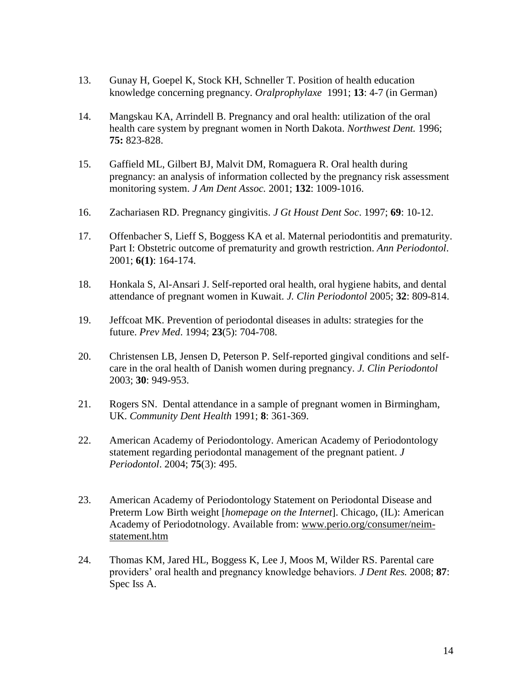- 13. Gunay H, Goepel K, Stock KH, Schneller T. Position of health education knowledge concerning pregnancy. *Oralprophylaxe* 1991; **13**: 4-7 (in German)
- 14. Mangskau KA, Arrindell B. Pregnancy and oral health: utilization of the oral health care system by pregnant women in North Dakota. *Northwest Dent.* 1996; **75:** 823-828.
- 15. Gaffield ML, Gilbert BJ, Malvit DM, Romaguera R. Oral health during pregnancy: an analysis of information collected by the pregnancy risk assessment monitoring system. *J Am Dent Assoc.* 2001; **132**: 1009-1016.
- 16. Zachariasen RD. Pregnancy gingivitis. *J Gt Houst Dent Soc*. 1997; **69**: 10-12.
- 17. Offenbacher S, Lieff S, Boggess KA et al. Maternal periodontitis and prematurity. Part I: Obstetric outcome of prematurity and growth restriction. *Ann Periodontol*. 2001; **6(1)**: 164-174.
- 18. Honkala S, Al-Ansari J. Self-reported oral health, oral hygiene habits, and dental attendance of pregnant women in Kuwait. *J. Clin Periodontol* 2005; **32**: 809-814.
- 19. Jeffcoat MK. Prevention of periodontal diseases in adults: strategies for the future. *Prev Med*. 1994; **23**(5): 704-708.
- 20. Christensen LB, Jensen D, Peterson P. Self-reported gingival conditions and selfcare in the oral health of Danish women during pregnancy. *J. Clin Periodontol* 2003; **30**: 949-953.
- 21. Rogers SN. Dental attendance in a sample of pregnant women in Birmingham, UK. *Community Dent Health* 1991; **8**: 361-369.
- 22. American Academy of Periodontology. American Academy of Periodontology statement regarding periodontal management of the pregnant patient. *J Periodontol*. 2004; **75**(3): 495.
- 23. American Academy of Periodontology Statement on Periodontal Disease and Preterm Low Birth weight [*homepage on the Internet*]. Chicago, (IL): American Academy of Periodotnology. Available from: [www.perio.org/consumer/neim](http://www.perio.org/consumer/neim-statement.htm)[statement.htm](http://www.perio.org/consumer/neim-statement.htm)
- 24. Thomas KM, Jared HL, Boggess K, Lee J, Moos M, Wilder RS. Parental care providers' oral health and pregnancy knowledge behaviors. *J Dent Res.* 2008; **87**: Spec Iss A.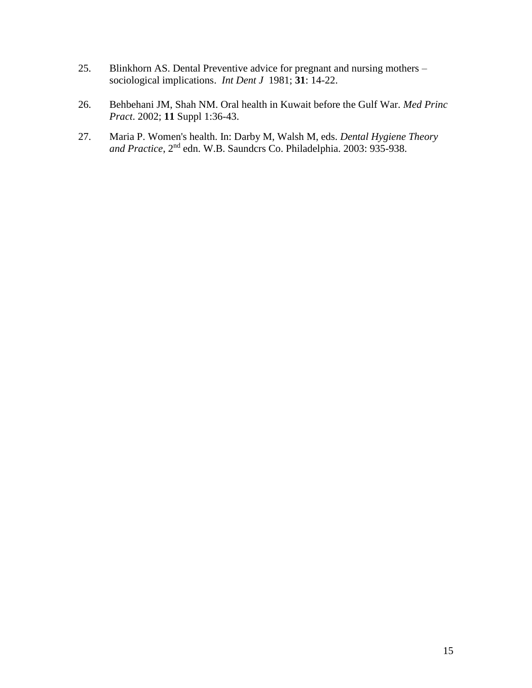- 25. Blinkhorn AS. Dental Preventive advice for pregnant and nursing mothers sociological implications. *Int Dent J* 1981; **31**: 14-22.
- 26. Behbehani JM, Shah NM. Oral health in Kuwait before the Gulf War. *Med Princ Pract*. 2002; **11** Suppl 1:36-43.
- 27. Maria P. Women's health. In: Darby M, Walsh M, eds. *Dental Hygiene Theory and Practice*, 2nd edn. W.B. Saundcrs Co. Philadelphia. 2003: 935-938.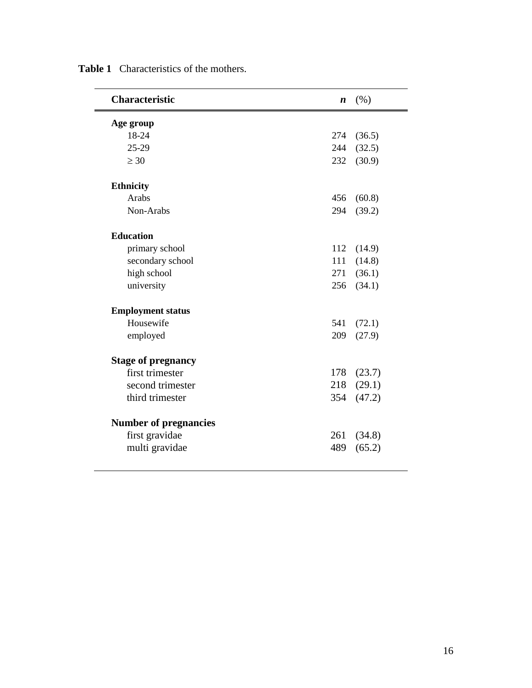| <b>Characteristic</b>        | $\boldsymbol{n}$ | (% )   |
|------------------------------|------------------|--------|
| Age group                    |                  |        |
| 18-24                        | 274              | (36.5) |
| 25-29                        | 244              | (32.5) |
| $\geq 30$                    | 232              | (30.9) |
| <b>Ethnicity</b>             |                  |        |
| Arabs                        | 456              | (60.8) |
| Non-Arabs                    | 294              | (39.2) |
| <b>Education</b>             |                  |        |
| primary school               | 112              | (14.9) |
| secondary school             | 111              | (14.8) |
| high school                  | 271              | (36.1) |
| university                   | 256              | (34.1) |
| <b>Employment status</b>     |                  |        |
| Housewife                    | 541              | (72.1) |
| employed                     | 209              | (27.9) |
| <b>Stage of pregnancy</b>    |                  |        |
| first trimester              | 178              | (23.7) |
| second trimester             | 218              | (29.1) |
| third trimester              | 354              | (47.2) |
| <b>Number of pregnancies</b> |                  |        |
| first gravidae               | 261              | (34.8) |
| multi gravidae               | 489              | (65.2) |

**Table 1** Characteristics of the mothers.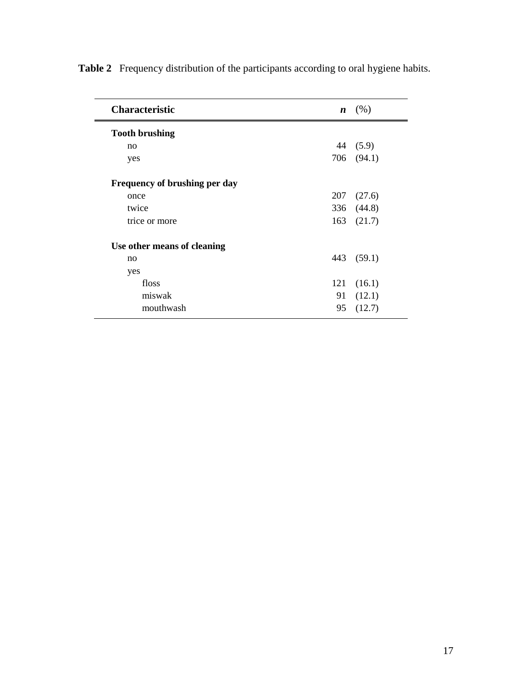| <b>Characteristic</b>         | $\boldsymbol{n}$ | (% )       |
|-------------------------------|------------------|------------|
| <b>Tooth brushing</b>         |                  |            |
| no                            | 44               | (5.9)      |
| yes                           | 706              | (94.1)     |
| Frequency of brushing per day |                  |            |
| once                          | 207              | (27.6)     |
| twice                         |                  | 336 (44.8) |
| trice or more                 | 163              | (21.7)     |
| Use other means of cleaning   |                  |            |
| no                            | 443              | (59.1)     |
| yes                           |                  |            |
| floss                         | 121              | (16.1)     |
| miswak                        | 91               | (12.1)     |
| mouthwash                     | 95               | (12.7)     |

**Table 2** Frequency distribution of the participants according to oral hygiene habits.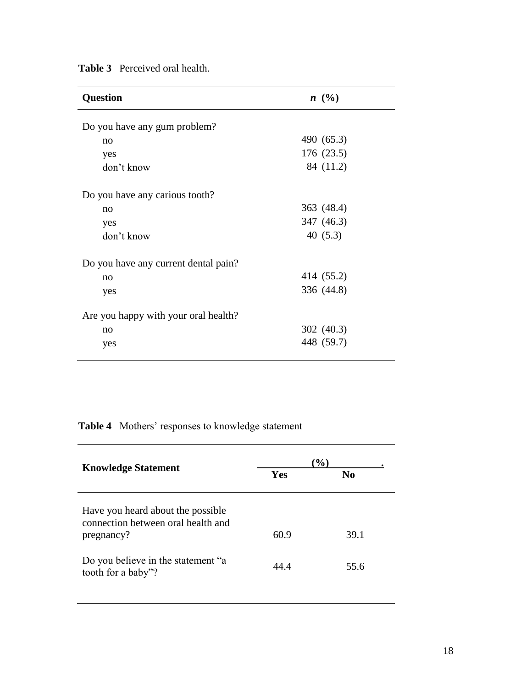| <b>Question</b>                      | $n \ (\%)$ |
|--------------------------------------|------------|
| Do you have any gum problem?         |            |
| no                                   | 490 (65.3) |
| yes                                  | 176 (23.5) |
| don't know                           | 84 (11.2)  |
| Do you have any carious tooth?       |            |
| no                                   | 363 (48.4) |
| yes                                  | 347 (46.3) |
| don't know                           | 40 $(5.3)$ |
| Do you have any current dental pain? |            |
| no                                   | 414 (55.2) |
| yes                                  | 336 (44.8) |
| Are you happy with your oral health? |            |
| no                                   | 302 (40.3) |
| yes                                  | 448 (59.7) |

**Table 3** Perceived oral health.

**Table 4** Mothers' responses to knowledge statement

| <b>Knowledge Statement</b>                                                                                                                        | $\%$         |                |  |
|---------------------------------------------------------------------------------------------------------------------------------------------------|--------------|----------------|--|
|                                                                                                                                                   | Yes          | N <sub>0</sub> |  |
| Have you heard about the possible<br>connection between oral health and<br>pregnancy?<br>Do you believe in the statement "a<br>tooth for a baby"? | 60.9<br>44 4 | 39.1<br>55.6   |  |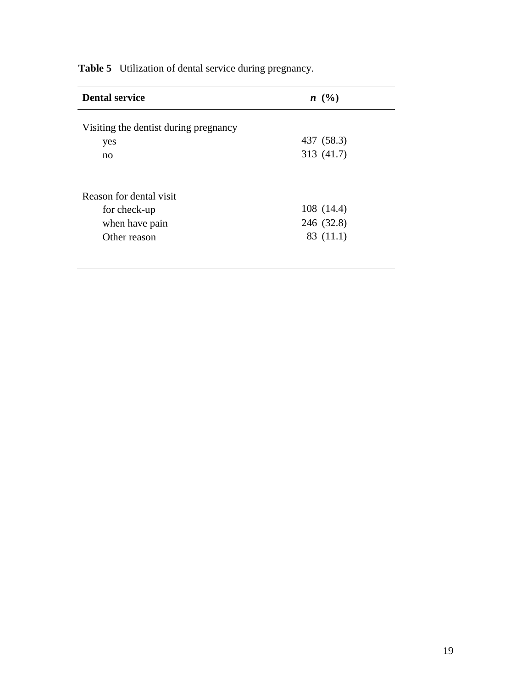| <b>Dental service</b>                 | $n \ (\%)$ |
|---------------------------------------|------------|
| Visiting the dentist during pregnancy |            |
| yes                                   | 437 (58.3) |
| no                                    | 313 (41.7) |
|                                       |            |
| Reason for dental visit               |            |
| for check-up                          | 108(14.4)  |
| when have pain                        | 246 (32.8) |
| Other reason                          | 83 (11.1)  |
|                                       |            |

**Table 5** Utilization of dental service during pregnancy.